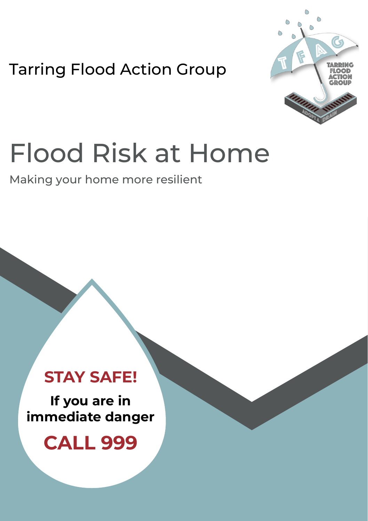Tarring Flood Action Group



## Flood Risk at Home

Making your home more resilient

## **STAY SAFE!**

**If you are in immediate danger**

**CALL 999**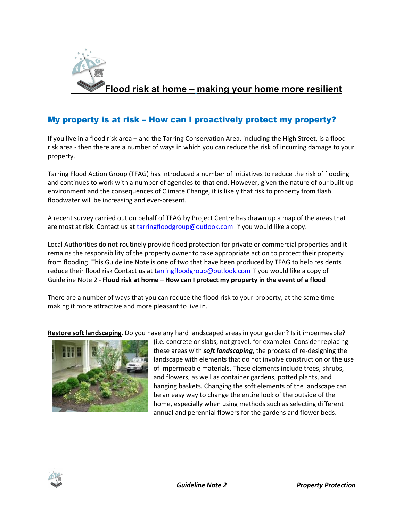

## My property is at risk – How can I proactively protect my property?

If you live in a flood risk area – and the Tarring Conservation Area, including the High Street, is a flood risk area - then there are a number of ways in which you can reduce the risk of incurring damage to your property.

Tarring Flood Action Group (TFAG) has introduced a number of initiatives to reduce the risk of flooding and continues to work with a number of agencies to that end. However, given the nature of our built-up environment and the consequences of Climate Change, it is likely that risk to property from flash floodwater will be increasing and ever-present.

A recent survey carried out on behalf of TFAG by Project Centre has drawn up a map of the areas that are most at risk. Contact us at tarringfloodgroup@outlook.com if you would like a copy.

Local Authorities do not routinely provide flood protection for private or commercial properties and it remains the responsibility of the property owner to take appropriate action to protect their property from flooding. This Guideline Note is one of two that have been produced by TFAG to help residents reduce their flood risk Contact us at tarringfloodgroup@outlook.com if you would like a copy of Guideline Note 2 - **Flood risk at home – How can I protect my property in the event of a flood**

There are a number of ways that you can reduce the flood risk to your property, at the same time making it more attractive and more pleasant to live in.

**Restore soft landscaping**. Do you have any hard landscaped areas in your garden? Is it impermeable?



(i.e. concrete or slabs, not gravel, for example). Consider replacing these areas with *soft landscaping*, the process of re-designing the landscape with elements that do not involve construction or the use of impermeable materials. These elements include trees, shrubs, and flowers, as well as container gardens, potted plants, and hanging baskets. Changing the soft elements of the landscape can be an easy way to change the entire look of the outside of the home, especially when using methods such as selecting different annual and perennial flowers for the gardens and flower beds.

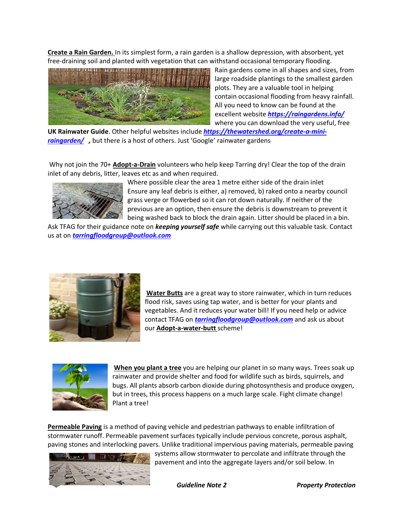**Create a Rain Garden.** In its simplest form, a rain garden is a shallow depression, with absorbent, yet free-draining soil and planted with vegetation that can withstand occasional temporary flooding.



Rain gardens come in all shapes and sizes, from large roadside plantings to the smallest garden plots. They are a valuable tool in helping contain occasional flooding from heavy rainfall. All you need to know can be found at the excellent website *https://raingardens.info/* where you can download the very useful, free

**UK Rainwater Guide**. Other helpful websites include *https://thewatershed.org/create-a-miniraingarden/ ,* but there is a host of others. Just 'Google' rainwater gardens

Why not join the 70+ **Adopt-a-Drain** volunteers who help keep Tarring dry! Clear the top of the drain inlet of any debris, litter, leaves etc as and when required.



Where possible clear the area 1 metre either side of the drain inlet Ensure any leaf debris is either, a) removed, b) raked onto a nearby council grass verge or flowerbed so it can rot down naturally. If neither of the previous are an option, then ensure the debris is downstream to prevent it being washed back to block the drain again. Litter should be placed in a bin.

Ask TFAG for their guidance note on *keeping yourself safe* while carrying out this valuable task. Contact us at on *tarringfloodgroup@outlook.com*



**Water Butts** are a great way to store rainwater, which in turn reduces flood risk, saves using tap water, and is better for your plants and vegetables. And it reduces your water bill! If you need help or advice contact TFAG on *tarringfloodgroup@outlook.com* and ask us about our **Adopt-a-water-butt** scheme!



**When you plant a tree** you are helping our planet in so many ways. Trees soak up rainwater and provide shelter and food for wildlife such as birds, squirrels, and bugs. All plants absorb carbon dioxide during photosynthesis and produce oxygen, but in trees, this process happens on a much large scale. Fight climate change! Plant a tree!

**Permeable Paving** is a method of paving vehicle and pedestrian pathways to enable infiltration of stormwater runoff. Permeable pavement surfaces typically include pervious concrete, porous asphalt, paving stones and interlocking pavers. Unlike traditional impervious paving materials, permeable paving



systems allow stormwater to percolate and infiltrate through the pavement and into the aggregate layers and/or soil below. In

*Guideline Note 2 Property Protection*